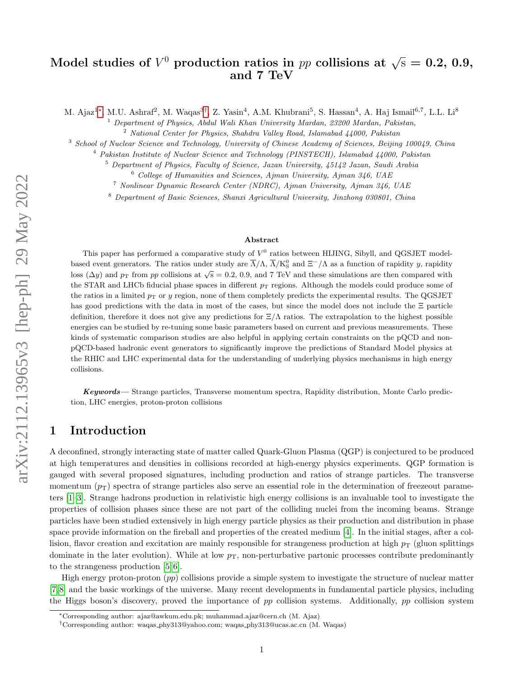# Model studies of  $V^0$  production ratios in  $pp$  collisions at  $\sqrt{\rm s}=0.2,\,0.9,$ and 7 TeV

M. Ajaz<sup>1</sup>\*, M.U. Ashraf<sup>2</sup>, M. Waqas<sup>3[†](#page-0-1)</sup>, Z. Yasin<sup>4</sup>, A.M. Khubrani<sup>5</sup>, S. Hassan<sup>4</sup>, A. Haj Ismail<sup>6,7</sup>, L.L. Li<sup>8</sup>

<sup>1</sup> Department of Physics, Abdul Wali Khan University Mardan, 23200 Mardan, Pakistan,

 $2$  National Center for Physics, Shahdra Valley Road, Islamabad  $\mu$ 4000, Pakistan

<sup>3</sup> School of Nuclear Science and Technology, University of Chinese Academy of Sciences, Beijing 100049, China

<sup>4</sup> Pakistan Institute of Nuclear Science and Technology (PINSTECH), Islamabad 44000, Pakistan

 $5$  Department of Physics, Faculty of Science, Jazan University, 45142 Jazan, Saudi Arabia

 $6$  College of Humanities and Sciences, Ajman University, Ajman 346, UAE

<sup>7</sup> Nonlinear Dynamic Research Center (NDRC), Ajman University, Ajman 346, UAE

<sup>8</sup> Department of Basic Sciences, Shanxi Agricultural University, Jinzhong 030801, China

#### Abstract

This paper has performed a comparative study of  $V^0$  ratios between HIJING, Sibyll, and QGSJET modelbased event generators. The ratios under study are  $\overline{\Lambda}/\Lambda$ ,  $\overline{\Lambda}/K_S^0$  and  $\Xi^-/\Lambda$  as a function of rapidity y, rapidity loss ( $\Delta y$ ) and  $p_T$  from pp collisions at  $\sqrt{s} = 0.2$ , 0.9, and 7 TeV and these simulations are then compared with the STAR and LHCb fiducial phase spaces in different  $p_T$  regions. Although the models could produce some of the ratios in a limited  $p<sub>T</sub>$  or y region, none of them completely predicts the experimental results. The QGSJET has good predictions with the data in most of the cases, but since the model does not include the Ξ particle definition, therefore it does not give any predictions for  $\Xi/\Lambda$  ratios. The extrapolation to the highest possible energies can be studied by re-tuning some basic parameters based on current and previous measurements. These kinds of systematic comparison studies are also helpful in applying certain constraints on the pQCD and nonpQCD-based hadronic event generators to significantly improve the predictions of Standard Model physics at the RHIC and LHC experimental data for the understanding of underlying physics mechanisms in high energy collisions.

Keywords— Strange particles, Transverse momentum spectra, Rapidity distribution, Monte Carlo prediction, LHC energies, proton-proton collisions

## 1 Introduction

A deconfined, strongly interacting state of matter called Quark-Gluon Plasma (QGP) is conjectured to be produced at high temperatures and densities in collisions recorded at high-energy physics experiments. QGP formation is gauged with several proposed signatures, including production and ratios of strange particles. The transverse momentum  $(p_T)$  spectra of strange particles also serve an essential role in the determination of freezeout parameters [\[1](#page-11-0)[–3\]](#page-11-1). Strange hadrons production in relativistic high energy collisions is an invaluable tool to investigate the properties of collision phases since these are not part of the colliding nuclei from the incoming beams. Strange particles have been studied extensively in high energy particle physics as their production and distribution in phase space provide information on the fireball and properties of the created medium [\[4\]](#page-11-2). In the initial stages, after a collision, flavor creation and excitation are mainly responsible for strangeness production at high  $p_T$  (gluon splittings) dominate in the later evolution). While at low  $p<sub>T</sub>$ , non-perturbative partonic processes contribute predominantly to the strangeness production [\[5,](#page-11-3) [6\]](#page-11-4).

High energy proton-proton  $(pp)$  collisions provide a simple system to investigate the structure of nuclear matter [\[7,](#page-11-5) [8\]](#page-11-6) and the basic workings of the universe. Many recent developments in fundamental particle physics, including the Higgs boson's discovery, proved the importance of pp collision systems. Additionally, pp collision system

<span id="page-0-0"></span><sup>∗</sup>Corresponding author: ajaz@awkum.edu.pk; muhammad.ajaz@cern.ch (M. Ajaz)

<span id="page-0-1"></span><sup>†</sup>Corresponding author: waqas phy313@yahoo.com; waqas phy313@ucas.ac.cn (M. Waqas)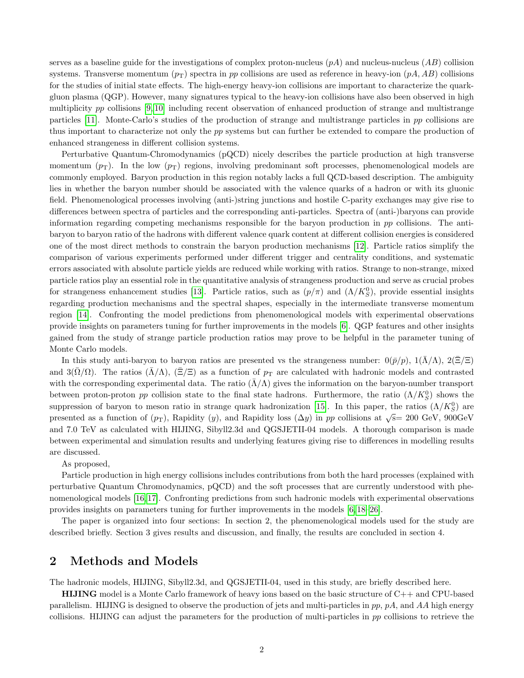serves as a baseline guide for the investigations of complex proton-nucleus  $(pA)$  and nucleus-nucleus  $(AB)$  collision systems. Transverse momentum  $(p_T)$  spectra in pp collisions are used as reference in heavy-ion  $(pA, AB)$  collisions for the studies of initial state effects. The high-energy heavy-ion collisions are important to characterize the quarkgluon plasma (QGP). However, many signatures typical to the heavy-ion collisions have also been observed in high multiplicity pp collisions [\[9,](#page-11-7) [10\]](#page-11-8) including recent observation of enhanced production of strange and multistrange particles [\[11\]](#page-11-9). Monte-Carlo's studies of the production of strange and multistrange particles in pp collisions are thus important to characterize not only the pp systems but can further be extended to compare the production of enhanced strangeness in different collision systems.

Perturbative Quantum-Chromodynamics (pQCD) nicely describes the particle production at high transverse momentum  $(p_T)$ . In the low  $(p_T)$  regions, involving predominant soft processes, phenomenological models are commonly employed. Baryon production in this region notably lacks a full QCD-based description. The ambiguity lies in whether the baryon number should be associated with the valence quarks of a hadron or with its gluonic field. Phenomenological processes involving (anti-)string junctions and hostile C-parity exchanges may give rise to differences between spectra of particles and the corresponding anti-particles. Spectra of (anti-)baryons can provide information regarding competing mechanisms responsible for the baryon production in pp collisions. The antibaryon to baryon ratio of the hadrons with different valence quark content at different collision energies is considered one of the most direct methods to constrain the baryon production mechanisms [\[12\]](#page-11-10). Particle ratios simplify the comparison of various experiments performed under different trigger and centrality conditions, and systematic errors associated with absolute particle yields are reduced while working with ratios. Strange to non-strange, mixed particle ratios play an essential role in the quantitative analysis of strangeness production and serve as crucial probes for strangeness enhancement studies [\[13\]](#page-11-11). Particle ratios, such as  $(p/\pi)$  and  $(\Lambda/K_S^0)$ , provide essential insights regarding production mechanisms and the spectral shapes, especially in the intermediate transverse momentum region [\[14\]](#page-11-12). Confronting the model predictions from phenomenological models with experimental observations provide insights on parameters tuning for further improvements in the models [\[6\]](#page-11-4). QGP features and other insights gained from the study of strange particle production ratios may prove to be helpful in the parameter tuning of Monte Carlo models.

In this study anti-baryon to baryon ratios are presented vs the strangeness number:  $0(\bar{p}/p)$ ,  $1(\Lambda/\Lambda)$ ,  $2(\Xi/\Xi)$ and 3( $\Omega/\Omega$ ). The ratios ( $\overline{\Lambda}/\Lambda$ ), ( $\Xi/\Xi$ ) as a function of  $p_{\rm T}$  are calculated with hadronic models and contrasted with the corresponding experimental data. The ratio  $(\bar{\Lambda}/\Lambda)$  gives the information on the baryon-number transport between proton-proton pp collision state to the final state hadrons. Furthermore, the ratio  $(\Lambda/K_S^0)$  shows the suppression of baryon to meson ratio in strange quark hadronization [\[15\]](#page-11-13). In this paper, the ratios  $(\Lambda/K_S^0)$  are presented as a function of  $(p_T)$ , Rapidity  $(y)$ , and Rapidity loss  $(\Delta y)$  in pp collisions at  $\sqrt{s}$  = 200 GeV, 900GeV and 7.0 TeV as calculated with HIJING, Sibyll2.3d and QGSJETII-04 models. A thorough comparison is made between experimental and simulation results and underlying features giving rise to differences in modelling results are discussed.

As proposed,

Particle production in high energy collisions includes contributions from both the hard processes (explained with perturbative Quantum Chromodynamics, pQCD) and the soft processes that are currently understood with phenomenological models [\[16,](#page-11-14) [17\]](#page-11-15). Confronting predictions from such hadronic models with experimental observations provides insights on parameters tuning for further improvements in the models [\[6,](#page-11-4) [18–](#page-11-16)[26\]](#page-12-0).

The paper is organized into four sections: In section 2, the phenomenological models used for the study are described briefly. Section 3 gives results and discussion, and finally, the results are concluded in section 4.

# 2 Methods and Models

The hadronic models, HIJING, Sibyll2.3d, and QGSJETII-04, used in this study, are briefly described here.

HIJING model is a Monte Carlo framework of heavy ions based on the basic structure of C++ and CPU-based parallelism. HIJING is designed to observe the production of jets and multi-particles in  $pp$ ,  $pA$ , and  $AA$  high energy collisions. HIJING can adjust the parameters for the production of multi-particles in pp collisions to retrieve the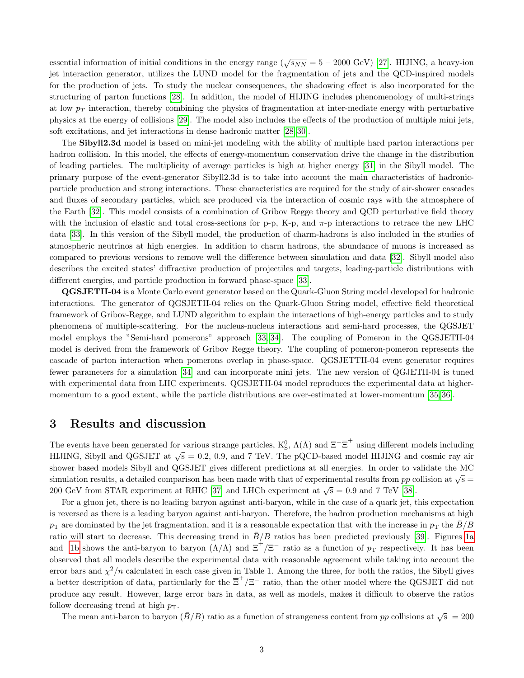essential information of initial conditions in the energy range ( $\sqrt{s_{NN}} = 5 - 2000$  GeV) [\[27\]](#page-12-1). HIJING, a heavy-ion jet interaction generator, utilizes the LUND model for the fragmentation of jets and the QCD-inspired models for the production of jets. To study the nuclear consequences, the shadowing effect is also incorporated for the structuring of parton functions [\[28\]](#page-12-2). In addition, the model of HIJING includes phenomenology of multi-strings at low  $p_T$  interaction, thereby combining the physics of fragmentation at inter-mediate energy with perturbative physics at the energy of collisions [\[29\]](#page-12-3). The model also includes the effects of the production of multiple mini jets, soft excitations, and jet interactions in dense hadronic matter [\[28,](#page-12-2) [30\]](#page-12-4).

The Sibyll2.3d model is based on mini-jet modeling with the ability of multiple hard parton interactions per hadron collision. In this model, the effects of energy-momentum conservation drive the change in the distribution of leading particles. The multiplicity of average particles is high at higher energy [\[31\]](#page-12-5) in the Sibyll model. The primary purpose of the event-generator Sibyll2.3d is to take into account the main characteristics of hadronicparticle production and strong interactions. These characteristics are required for the study of air-shower cascades and fluxes of secondary particles, which are produced via the interaction of cosmic rays with the atmosphere of the Earth [\[32\]](#page-12-6). This model consists of a combination of Gribov Regge theory and QCD perturbative field theory with the inclusion of elastic and total cross-sections for p-p, K-p, and  $\pi$ -p interactions to retrace the new LHC data [\[33\]](#page-12-7). In this version of the Sibyll model, the production of charm-hadrons is also included in the studies of atmospheric neutrinos at high energies. In addition to charm hadrons, the abundance of muons is increased as compared to previous versions to remove well the difference between simulation and data [\[32\]](#page-12-6). Sibyll model also describes the excited states' diffractive production of projectiles and targets, leading-particle distributions with different energies, and particle production in forward phase-space [\[33\]](#page-12-7).

QGSJETII-04 is a Monte Carlo event generator based on the Quark-Gluon String model developed for hadronic interactions. The generator of QGSJETII-04 relies on the Quark-Gluon String model, effective field theoretical framework of Gribov-Regge, and LUND algorithm to explain the interactions of high-energy particles and to study phenomena of multiple-scattering. For the nucleus-nucleus interactions and semi-hard processes, the QGSJET model employs the "Semi-hard pomerons" approach [\[33,](#page-12-7) [34\]](#page-12-8). The coupling of Pomeron in the QGSJETII-04 model is derived from the framework of Gribov Regge theory. The coupling of pomeron-pomeron represents the cascade of parton interaction when pomerons overlap in phase-space. QGSJETTII-04 event generator requires fewer parameters for a simulation [\[34\]](#page-12-8) and can incorporate mini jets. The new version of QGJETII-04 is tuned with experimental data from LHC experiments. QGSJETII-04 model reproduces the experimental data at higher-momentum to a good extent, while the particle distributions are over-estimated at lower-momentum [\[35,](#page-12-9) [36\]](#page-12-10).

#### 3 Results and discussion

The events have been generated for various strange particles,  $K_S^0$ ,  $\Lambda(\overline{\Lambda})$  and  $\Xi^{-\overline{\Xi}^+}$  using different models including HIJING, Sibyll and QGSJET at  $\sqrt{s} = 0.2, 0.9,$  and 7 TeV. The pQCD-based model HIJING and cosmic ray air shower based models Sibyll and QGSJET gives different predictions at all energies. In order to validate the MC simulation results, a detailed comparison has been made with that of experimental results from pp collision at  $\sqrt{s}$ 200 GeV from STAR experiment at RHIC [\[37\]](#page-12-11) and LHCb experiment at  $\sqrt{s} = 0.9$  and 7 TeV [\[38\]](#page-12-12).

For a gluon jet, there is no leading baryon against anti-baryon, while in the case of a quark jet, this expectation is reversed as there is a leading baryon against anti-baryon. Therefore, the hadron production mechanisms at high  $p_{\rm T}$  are dominated by the jet fragmentation, and it is a reasonable expectation that with the increase in  $p_{\rm T}$  the  $\bar{B}/B$ ratio will start to decrease. This decreasing trend in  $\bar{B}/B$  ratios has been predicted previously [\[39\]](#page-12-13). Figures [1a](#page-3-0) and [1b](#page-3-0) shows the anti-baryon to baryon  $(\overline{\Lambda}/\Lambda)$  and  $\overline{\Xi}^+/\Xi^-$  ratio as a function of  $p_T$  respectively. It has been observed that all models describe the experimental data with reasonable agreement while taking into account the error bars and  $\chi^2/n$  calculated in each case given in Table 1. Among the three, for both the ratios, the Sibyll gives a better description of data, particularly for the  $\overline{\Xi}^+/\Xi^-$  ratio, than the other model where the QGSJET did not produce any result. However, large error bars in data, as well as models, makes it difficult to observe the ratios follow decreasing trend at high  $p_T$ .

The mean anti-baron to baryon  $(\bar{B}/B)$  ratio as a function of strangeness content from pp collisions at  $\sqrt{s} = 200$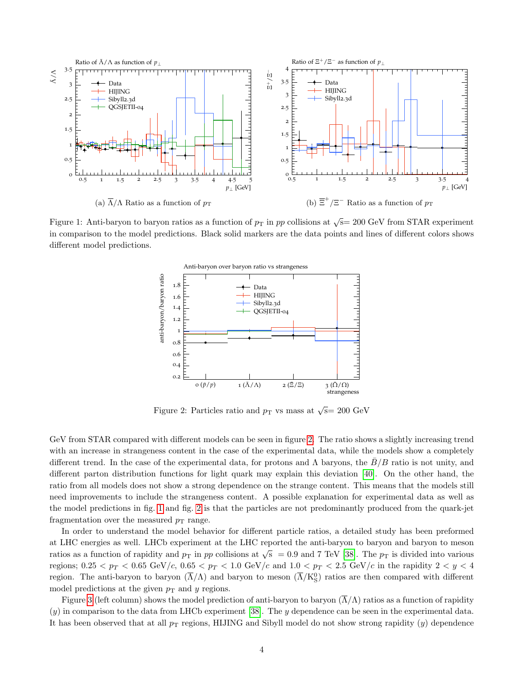<span id="page-3-0"></span>

<span id="page-3-1"></span>Figure 1: Anti-baryon to baryon ratios as a function of  $p<sub>T</sub>$  in pp collisions at  $\sqrt{s}$  = 200 GeV from STAR experiment in comparison to the model predictions. Black solid markers are the data points and lines of different colors shows different model predictions.



Figure 2: Particles ratio and  $p_T$  vs mass at  $\sqrt{s}$  = 200 GeV

GeV from STAR compared with different models can be seen in figure [2.](#page-3-1) The ratio shows a slightly increasing trend with an increase in strangeness content in the case of the experimental data, while the models show a completely different trend. In the case of the experimental data, for protons and  $\Lambda$  baryons, the  $B/B$  ratio is not unity, and different parton distribution functions for light quark may explain this deviation [\[40\]](#page-12-14). On the other hand, the ratio from all models does not show a strong dependence on the strange content. This means that the models still need improvements to include the strangeness content. A possible explanation for experimental data as well as the model predictions in fig. [1](#page-3-0) and fig. [2](#page-3-1) is that the particles are not predominantly produced from the quark-jet fragmentation over the measured  $p_T$  range.

In order to understand the model behavior for different particle ratios, a detailed study has been preformed at LHC energies as well. LHCb experiment at the LHC reported the anti-baryon to baryon and baryon to meson ratios as a function of rapidity and  $p_T$  in pp collisions at  $\sqrt{s}$  = 0.9 and 7 TeV [\[38\]](#page-12-12). The  $p_T$  is divided into various regions;  $0.25 < p_T < 0.65$  GeV/c,  $0.65 < p_T < 1.0$  GeV/c and  $1.0 < p_T < 2.5$  GeV/c in the rapidity  $2 < y < 4$ region. The anti-baryon to baryon  $(\overline{\Lambda}/\Lambda)$  and baryon to meson  $(\overline{\Lambda}/K_S^0)$  ratios are then compared with different model predictions at the given  $p_T$  and y regions.

Figure [3](#page-5-0) (left column) shows the model prediction of anti-baryon to baryon  $(\overline{\Lambda}/\Lambda)$  ratios as a function of rapidity (y) in comparison to the data from LHCb experiment [\[38\]](#page-12-12). The y dependence can be seen in the experimental data. It has been observed that at all  $p_T$  regions, HIJING and Sibyll model do not show strong rapidity  $(y)$  dependence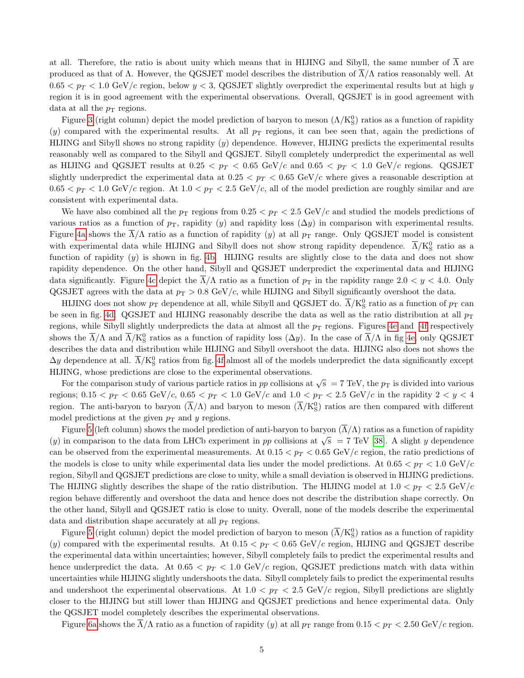at all. Therefore, the ratio is about unity which means that in HIJING and Sibyll, the same number of  $\overline{\Lambda}$  are produced as that of  $\Lambda$ . However, the QGSJET model describes the distribution of  $\Lambda/\Lambda$  ratios reasonably well. At  $0.65 < p_T < 1.0$  GeV/c region, below  $y < 3$ , QGSJET slightly overpredict the experimental results but at high y region it is in good agreement with the experimental observations. Overall, QGSJET is in good agreement with data at all the  $p<sub>T</sub>$  regions.

Figure [3](#page-5-0) (right column) depict the model prediction of baryon to meson  $(\Lambda/K_S^0)$  ratios as a function of rapidity (y) compared with the experimental results. At all  $p_T$  regions, it can bee seen that, again the predictions of HIJING and Sibyll shows no strong rapidity (y) dependence. However, HIJING predicts the experimental results reasonably well as compared to the Sibyll and QGSJET. Sibyll completely underpredict the experimental as well as HIJING and QGSJET results at  $0.25 < p_T < 0.65$  GeV/c and  $0.65 < p_T < 1.0$  GeV/c regions. QGSJET slightly underpredict the experimental data at  $0.25 < p_T < 0.65$  GeV/c where gives a reasonable description at  $0.65 < p_T < 1.0 \text{ GeV}/c$  region. At  $1.0 < p_T < 2.5 \text{ GeV}/c$ , all of the model prediction are roughly similar and are consistent with experimental data.

We have also combined all the  $p_T$  regions from  $0.25 < p_T < 2.5$  GeV/c and studied the models predictions of various ratios as a function of  $p<sub>T</sub>$ , rapidity (y) and rapidity loss ( $\Delta y$ ) in comparison with experimental results. Figure [4a](#page-6-0) shows the  $\overline{\Lambda}/\Lambda$  ratio as a function of rapidity (y) at all  $p_T$  range. Only QGSJET model is consistent with experimental data while HIJING and Sibyll does not show strong rapidity dependence.  $\overline{\Lambda}/K_S^0$  ratio as a function of rapidity  $(y)$  is shown in fig. [4b.](#page-6-0) HIJING results are slightly close to the data and does not show rapidity dependence. On the other hand, Sibyll and QGSJET underpredict the experimental data and HIJING data significantly. Figure [4c](#page-6-0) depict the  $\overline{\Lambda}/\Lambda$  ratio as a function of  $p_T$  in the rapidity range 2.0  $\lt y \lt 4.0$ . Only QGSJET agrees with the data at  $p_T > 0.8$  GeV/c, while HIJING and Sibyll significantly overshoot the data.

HIJING does not show  $p_T$  dependence at all, while Sibyll and QGSJET do.  $\overline{\Lambda}/K_S^0$  ratio as a function of  $p_T$  can be seen in fig. [4d.](#page-6-0) QGSJET and HIJING reasonably describe the data as well as the ratio distribution at all  $p_T$ regions, while Sibyll slightly underpredicts the data at almost all the  $p_T$  regions. Figures [4e](#page-6-0) and [4f](#page-6-0) respectively shows the  $\overline{\Lambda}/\Lambda$  and  $\overline{\Lambda}/K_S^0$  ratios as a function of rapidity loss  $(\Delta y)$ . In the case of  $\overline{\Lambda}/\Lambda$  in fig [4e,](#page-6-0) only QGSJET describes the data and distribution while HIJING and Sibyll overshoot the data. HIJING also does not shows the  $\Delta y$  dependence at all.  $\overline{\Lambda}/\mathrm{K^0_S}$  ratios from fig. [4f](#page-6-0) almost all of the models underpredict the data significantly except HIJING, whose predictions are close to the experimental observations.

For the comparison study of various particle ratios in pp collisions at  $\sqrt{s} = 7 \text{ TeV}$ , the  $p_T$  is divided into various regions;  $0.15 < p_T < 0.65$  GeV/c,  $0.65 < p_T < 1.0$  GeV/c and  $1.0 < p_T < 2.5$  GeV/c in the rapidity  $2 < y < 4$ region. The anti-baryon to baryon  $(\overline{\Lambda}/\Lambda)$  and baryon to meson  $(\overline{\Lambda}/K_S^0)$  ratios are then compared with different model predictions at the given  $p_T$  and y regions.

Figure [5](#page-7-0) (left column) shows the model prediction of anti-baryon to baryon  $(\overline{\Lambda}/\Lambda)$  ratios as a function of rapidity (y) in comparison to the data from LHCb experiment in pp collisions at  $\sqrt{s}$  = 7 TeV [\[38\]](#page-12-12). A slight y dependence can be observed from the experimental measurements. At  $0.15 < p_T < 0.65$  GeV/c region, the ratio predictions of the models is close to unity while experimental data lies under the model predictions. At  $0.65 < p_T < 1.0 \text{ GeV}/c$ region, Sibyll and QGSJET predictions are close to unity, while a small deviation is observed in HIJING predictions. The HIJING slightly describes the shape of the ratio distribution. The HIJING model at  $1.0 < p_T < 2.5$  GeV/c region behave differently and overshoot the data and hence does not describe the distribution shape correctly. On the other hand, Sibyll and QGSJET ratio is close to unity. Overall, none of the models describe the experimental data and distribution shape accurately at all  $p<sub>T</sub>$  regions.

Figure [5](#page-7-0) (right column) depict the model prediction of baryon to meson  $(\overline{\Lambda}/K_S^0)$  ratios as a function of rapidity (y) compared with the experimental results. At  $0.15 < p_T < 0.65$  GeV/c region, HIJING and QGSJET describe the experimental data within uncertainties; however, Sibyll completely fails to predict the experimental results and hence underpredict the data. At  $0.65 < p_T < 1.0$  GeV/c region, QGSJET predictions match with data within uncertainties while HIJING slightly undershoots the data. Sibyll completely fails to predict the experimental results and undershoot the experimental observations. At  $1.0 < p_T < 2.5$  GeV/c region, Sibyll predictions are slightly closer to the HIJING but still lower than HIJING and QGSJET predictions and hence experimental data. Only the QGSJET model completely describes the experimental observations.

Figure [6a](#page-8-0) shows the  $\Lambda/\Lambda$  ratio as a function of rapidity (y) at all  $p_T$  range from  $0.15 < p_T < 2.50$  GeV/c region.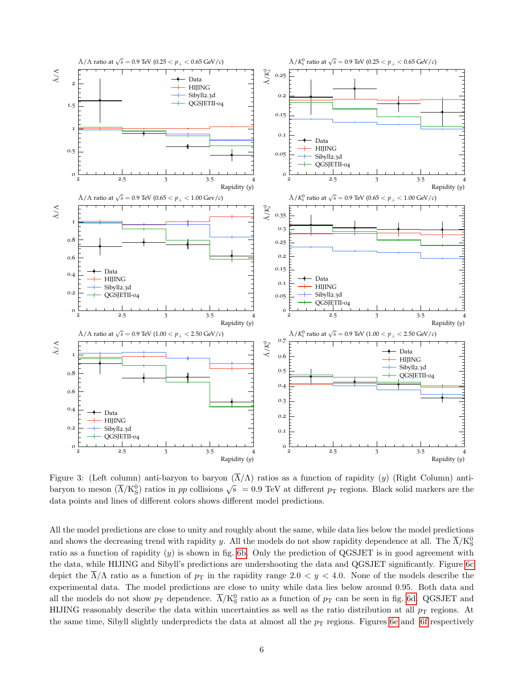<span id="page-5-0"></span>

Figure 3: (Left column) anti-baryon to baryon  $(\overline{\Lambda}/\Lambda)$  ratios as a function of rapidity (y) (Right Column) antibaryon to meson  $(\overline{\Lambda}/K_S^0)$  ratios in pp collisions  $\sqrt{s}$  = 0.9 TeV at different p<sub>T</sub> regions. Black solid markers are the data points and lines of different colors shows different model predictions.

All the model predictions are close to unity and roughly about the same, while data lies below the model predictions and shows the decreasing trend with rapidity y. All the models do not show rapidity dependence at all. The  $\overline{\Lambda}/\mathrm{K^0_S}$ ratio as a function of rapidity  $(y)$  is shown in fig. [6b.](#page-8-0) Only the prediction of QGSJET is in good agreement with the data, while HIJING and Sibyll's predictions are undershooting the data and QGSJET significantly. Figure [6c](#page-8-0) depict the  $\overline{\Lambda}/\Lambda$  ratio as a function of  $p_T$  in the rapidity range  $2.0 < y < 4.0$ . None of the models describe the experimental data. The model predictions are close to unity while data lies below around 0.95. Both data and all the models do not show  $p_T$  dependence.  $\overline{\Lambda}/K_S^0$  ratio as a function of  $p_T$  can be seen in fig. [6d.](#page-8-0) QGSJET and HIJING reasonably describe the data within uncertainties as well as the ratio distribution at all  $p_T$  regions. At the same time, Sibyll slightly underpredicts the data at almost all the  $p<sub>T</sub>$  regions. Figures [6e](#page-8-0) and [6f](#page-8-0) respectively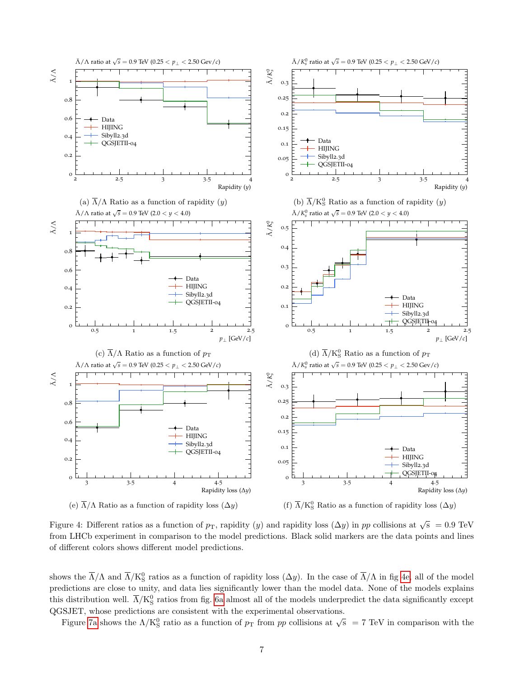<span id="page-6-0"></span>

Figure 4: Different ratios as a function of  $p_T$ , rapidity (y) and rapidity loss  $(\Delta y)$  in pp collisions at  $\sqrt{s}$  = 0.9 TeV from LHCb experiment in comparison to the model predictions. Black solid markers are the data points and lines of different colors shows different model predictions.

shows the  $\overline{\Lambda}/\Lambda$  and  $\overline{\Lambda}/K_S^0$  ratios as a function of rapidity loss  $(\Delta y)$ . In the case of  $\overline{\Lambda}/\Lambda$  in fig [4e,](#page-6-0) all of the model predictions are close to unity, and data lies significantly lower than the model data. None of the models explains this distribution well.  $\overline{\Lambda}/\mathrm{K^0_S}$  ratios from fig. [6a](#page-8-0) almost all of the models underpredict the data significantly except QGSJET, whose predictions are consistent with the experimental observations.

Figure [7a](#page-9-0) shows the  $\Lambda/K_S^0$  ratio as a function of  $p_T$  from  $pp$  collisions at  $\sqrt{s}$  = 7 TeV in comparison with the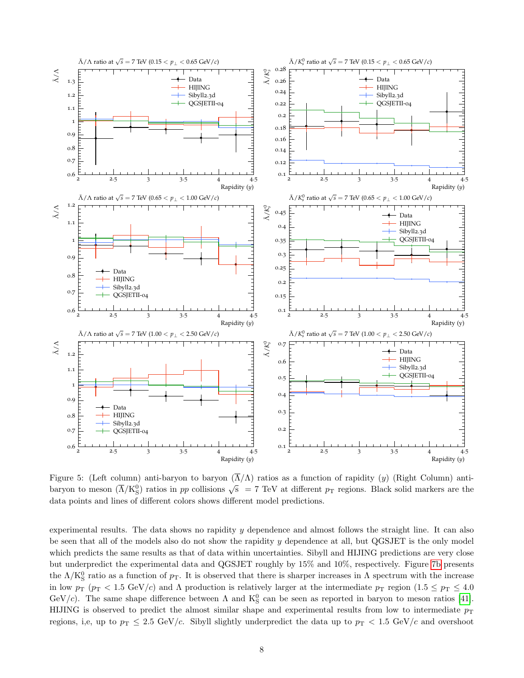<span id="page-7-0"></span>

Figure 5: (Left column) anti-baryon to baryon  $(\overline{\Lambda}/\Lambda)$  ratios as a function of rapidity (y) (Right Column) antibaryon to meson  $(\overline{\Lambda}/K_S^0)$  ratios in pp collisions  $\sqrt{s}$  = 7 TeV at different p<sub>T</sub> regions. Black solid markers are the data points and lines of different colors shows different model predictions.

experimental results. The data shows no rapidity y dependence and almost follows the straight line. It can also be seen that all of the models also do not show the rapidity y dependence at all, but QGSJET is the only model which predicts the same results as that of data within uncertainties. Sibyll and HIJING predictions are very close but underpredict the experimental data and QGSJET roughly by 15% and 10%, respectively. Figure [7b](#page-9-0) presents the  $\Lambda/K_S^0$  ratio as a function of  $p_T$ . It is observed that there is sharper increases in  $\Lambda$  spectrum with the increase in low  $p_T$  ( $p_T < 1.5 \text{ GeV}/c$ ) and  $\Lambda$  production is relatively larger at the intermediate  $p_T$  region (1.5  $\leq p_T \leq 4.0$ GeV/c). The same shape difference between  $\Lambda$  and  $K^0_S$  can be seen as reported in baryon to meson ratios [\[41\]](#page-12-15). HIJING is observed to predict the almost similar shape and experimental results from low to intermediate  $p<sub>T</sub>$ regions, i,e, up to  $p_T \leq 2.5$  GeV/c. Sibyll slightly underpredict the data up to  $p_T < 1.5$  GeV/c and overshoot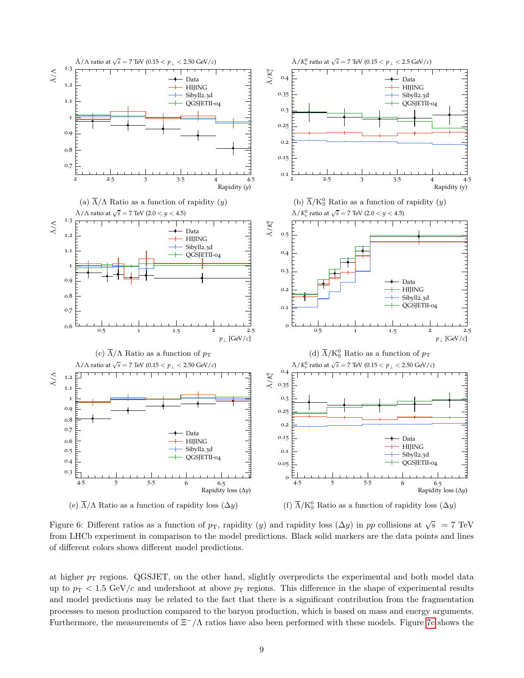<span id="page-8-0"></span>

Figure 6: Different ratios as a function of  $p<sub>T</sub>$ , rapidity (y) and rapidity loss  $(\Delta y)$  in pp collisions at  $\sqrt{s}$  = 7 TeV from LHCb experiment in comparison to the model predictions. Black solid markers are the data points and lines of different colors shows different model predictions.

at higher  $p<sub>T</sub>$  regions. QGSJET, on the other hand, slightly overpredicts the experimental and both model data up to  $p_T < 1.5 \text{ GeV}/c$  and undershoot at above  $p_T$  regions. This difference in the shape of experimental results and model predictions may be related to the fact that there is a significant contribution from the fragmentation processes to meson production compared to the baryon production, which is based on mass and energy arguments. Furthermore, the measurements of  $\Xi^-/\Lambda$  ratios have also been performed with these models. Figure [7c](#page-9-0) shows the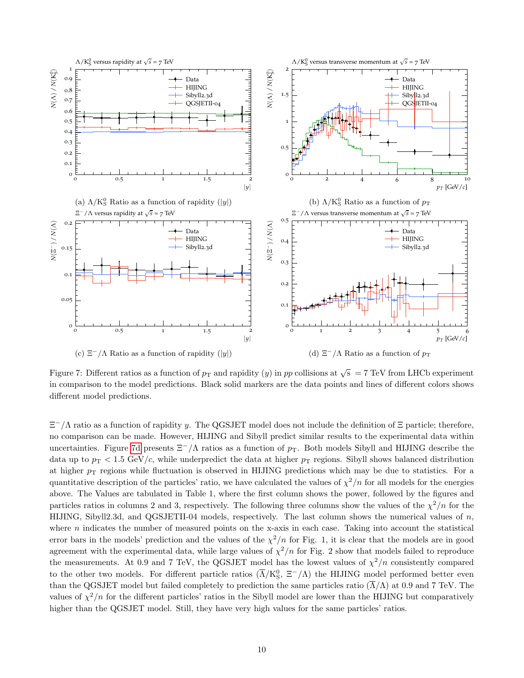<span id="page-9-0"></span>

Figure 7: Different ratios as a function of  $p_T$  and rapidity  $(y)$  in  $pp$  collisions at  $\sqrt{s} = 7$  TeV from LHCb experiment in comparison to the model predictions. Black solid markers are the data points and lines of different colors shows different model predictions.

 $\Xi^{-}/\Lambda$  ratio as a function of rapidity y. The QGSJET model does not include the definition of  $\Xi$  particle; therefore, no comparison can be made. However, HIJING and Sibyll predict similar results to the experimental data within uncertainties. Figure [7d](#page-9-0) presents  $\Xi^-/\Lambda$  ratios as a function of  $p_T$ . Both models Sibyll and HIJING describe the data up to  $p_T < 1.5$  GeV/c, while underpredict the data at higher  $p_T$  regions. Sibyll shows balanced distribution at higher  $p<sub>T</sub>$  regions while fluctuation is observed in HIJING predictions which may be due to statistics. For a quantitative description of the particles' ratio, we have calculated the values of  $\chi^2/n$  for all models for the energies above. The Values are tabulated in Table 1, where the first column shows the power, followed by the figures and particles ratios in columns 2 and 3, respectively. The following three columns show the values of the  $\chi^2/n$  for the HIJING, Sibyll2.3d, and QGSJETII-04 models, respectively. The last column shows the numerical values of  $n$ , where  $n$  indicates the number of measured points on the x-axis in each case. Taking into account the statistical error bars in the models' prediction and the values of the  $\chi^2/n$  for Fig. 1, it is clear that the models are in good agreement with the experimental data, while large values of  $\chi^2/n$  for Fig. 2 show that models failed to reproduce the measurements. At 0.9 and 7 TeV, the QGSJET model has the lowest values of  $\chi^2/n$  consistently compared to the other two models. For different particle ratios  $(\overline{\Lambda}/K_S^0, \Xi^-/\Lambda)$  the HIJING model performed better even than the QGSJET model but failed completely to prediction the same particles ratio  $(\overline{\Lambda}/\Lambda)$  at 0.9 and 7 TeV. The values of  $\chi^2/n$  for the different particles' ratios in the Sibyll model are lower than the HIJING but comparatively higher than the QGSJET model. Still, they have very high values for the same particles' ratios.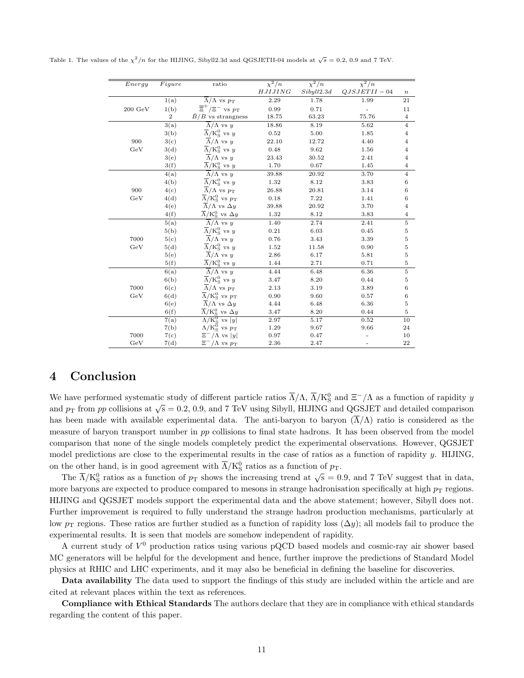| Energy             | Figure            | ratio                                                          | $\chi^2/n$ | $\chi^2/n$ | $\chi^2/n$    |                  |
|--------------------|-------------------|----------------------------------------------------------------|------------|------------|---------------|------------------|
|                    |                   |                                                                | HJIJING    | Sibyll2.3d | $QJSJETII-04$ | $\boldsymbol{n}$ |
|                    | 1(a)              | $\overline{\Lambda}/\Lambda$ vs $p_{\rm T}$                    | 2.29       | 1.78       | 1.99          | 21               |
| $200~\mathrm{GeV}$ | 1(b)              | $\overline{\Xi}^+/\Xi^-$ vs $p_{\rm T}$                        | 0.99       | 0.71       |               | 11               |
|                    | $\overline{2}$    | $\bar{B}/B$ vs strangness                                      | 18.75      | 63.23      | 75.76         | $\,4\,$          |
|                    | $\overline{3(a)}$ | $\overline{\Lambda}/\Lambda$ vs y                              | 18.86      | 8.19       | 5.62          | $\overline{4}$   |
|                    | 3(b)              | $\overline{\Lambda}/\mathrm{K^0_S}$ vs $y$                     | 0.52       | 5.00       | 1.85          | $\overline{4}$   |
| 900                | 3(c)              | $\overline{\Lambda}/\Lambda$ vs y                              | 22.10      | 12.72      | 4.40          | $\bf{4}$         |
| GeV                | 3(d)              | $\overline{\Lambda}/\mathrm{K}^0_{\mathrm{S}}$ vs y            | 0.48       | 9.62       | 1.56          | $\,4$            |
|                    | 3(e)              | $\overline{\Lambda}/\Lambda$ vs y                              | 23.43      | 30.52      | 2.41          | 4                |
|                    | 3(f)              | $\overline{\Lambda}/\mathrm{K^0_S}$ vs y                       | 1.70       | 0.67       | 1.45          | $\,4\,$          |
|                    | 4(a)              | $\overline{\Lambda}/\Lambda$ vs y                              | 39.88      | 20.92      | 3.70          | $\sqrt{4}$       |
|                    | 4(b)              | $\overline{\Lambda}/\mathrm{K}^0_{\mathrm{S}}$ vs y            | 1.32       | 8.12       | 3.83          | $\,6$            |
| 900                | 4(c)              | $\overline{\Lambda}/\Lambda$ vs $p_{\rm T}$                    | 26.88      | 20.81      | 3.14          | 6                |
| GeV                | 4(d)              | $\overline{\Lambda}/\mathrm{K^0_S}$ vs $p_{\mathrm{T}}$        | $0.18\,$   | 7.22       | 1.41          | $\,6$            |
|                    | 4(e)              | $\overline{\Lambda}/\Lambda$ vs $\Delta y$                     | 39.88      | 20.92      | 3.70          | $\overline{4}$   |
|                    | 4(f)              | $\overline{\Lambda}/\mathrm{K^0_S}$ vs $\Delta y$              | 1.32       | 8.12       | 3.83          | $\,4\,$          |
|                    | 5(a)              | $\overline{\Lambda}/\Lambda$ vs y                              | 1.40       | 2.74       | 2.41          | $\overline{5}$   |
|                    | 5(b)              | $\overline{\Lambda}/\mathrm{K}^0_\mathrm{S}$ vs y              | 0.21       | 6.03       | 0.45          | $\bf 5$          |
| 7000               | 5(c)              | $\overline{\Lambda}/\Lambda$ vs y                              | 0.76       | $3.43\,$   | 3.39          | $\bf 5$          |
| GeV                | 5(d)              | $\overline{\Lambda}/\mathrm{K^0_S}$ vs y                       | $1.52\,$   | 11.58      | 0.90          | $\bf 5$          |
|                    | 5(e)              | $\overline{\Lambda}/\Lambda$ vs y                              | 2.86       | 6.17       | 5.81          | 5                |
|                    | 5(f)              | $\overline{\Lambda}/\mathrm{K^0_S}$ vs y                       | 1.44       | 2.71       | 0.71          | $\bf 5$          |
|                    | 6(a)              | $\overline{\Lambda}/\Lambda$ vs y                              | 4.44       | 6.48       | 6.36          | $\bf 5$          |
|                    | 6(b)              | $\overline{\Lambda}/\mathrm{K^0_S}$ vs y                       | 3.47       | 8.20       | 0.44          | $\bf 5$          |
| 7000               | 6(c)              | $\overline{\Lambda}/\Lambda$ vs $p_{\rm T}$                    | 2.13       | 3.19       | 3.89          | $\,6$            |
| GeV                | 6(d)              | $\overline{\Lambda}/\mathrm{K}^0_\mathrm{S}$ vs $p_\mathrm{T}$ | 0.90       | 9.60       | 0.57          | $\,6$            |
|                    | 6(e)              | $\overline{\Lambda}/\Lambda$ vs $\Delta y$                     | 4.44       | 6.48       | 6.36          | $\bf 5$          |
|                    | 6(f)              | $\overline{\Lambda}/K_{\rm S}^0$ vs $\Delta y$                 | 3.47       | 8.20       | 0.44          | $\bf 5$          |
|                    | 7(a)              | $\overline{\Lambda/K^0_S}$ vs $ y $                            | 2.97       | 5.17       | 0.52          | 10               |
|                    | 7(b)              | $\Lambda/K^{\overline{0}}_{S}$ vs $p_{T}$                      | $1.29\,$   | 9.67       | 9.66          | 24               |
| 7000               | 7(c)              | $\Xi^-/\Lambda$ vs  y                                          | 0.97       | 0.47       |               | 10               |
| GeV                | 7(d)              | $\Xi^-/\Lambda$ vs $p_T$                                       | 2.36       | 2.47       |               | 22               |

Table 1. The values of the  $\chi^2/n$  for the HIJING, Sibyll2.3d and QGSJETII-04 models at  $\sqrt{s} = 0.2, 0.9$  and 7 TeV.

#### 4 Conclusion

We have performed systematic study of different particle ratios  $\overline{\Lambda}/\Lambda$ ,  $\overline{\Lambda}/K_S^0$  and  $\Xi^-/\Lambda$  as a function of rapidity  $y$ and  $p_T$  from  $pp$  collisions at  $\sqrt{s} = 0.2, 0.9$ , and 7 TeV using Sibyll, HIJING and QGSJET and detailed comparison has been made with available experimental data. The anti-baryon to baryon  $(\overline{\Lambda}/\Lambda)$  ratio is considered as the measure of baryon transport number in pp collisions to final state hadrons. It has been observed from the model comparison that none of the single models completely predict the experimental observations. However, QGSJET model predictions are close to the experimental results in the case of ratios as a function of rapidity  $y$ . HIJING, on the other hand, is in good agreement with  $\overline{\Lambda}/K_S^0$  ratios as a function of  $p_T$ .

The  $\overline{\Lambda}/K_S^0$  ratios as a function of  $p_T$  shows the increasing trend at  $\sqrt{s} = 0.9$ , and 7 TeV suggest that in data, more baryons are expected to produce compared to mesons in strange hadronisation specifically at high  $p<sub>T</sub>$  regions. HIJING and QGSJET models support the experimental data and the above statement; however, Sibyll does not. Further improvement is required to fully understand the strange hadron production mechanisms, particularly at low  $p_T$  regions. These ratios are further studied as a function of rapidity loss  $(\Delta y)$ ; all models fail to produce the experimental results. It is seen that models are somehow independent of rapidity.

A current study of  $V^0$  production ratios using various pQCD based models and cosmic-ray air shower based MC generators will be helpful for the development and hence, further improve the predictions of Standard Model physics at RHIC and LHC experiments, and it may also be beneficial in defining the baseline for discoveries.

Data availability The data used to support the findings of this study are included within the article and are cited at relevant places within the text as references.

Compliance with Ethical Standards The authors declare that they are in compliance with ethical standards regarding the content of this paper.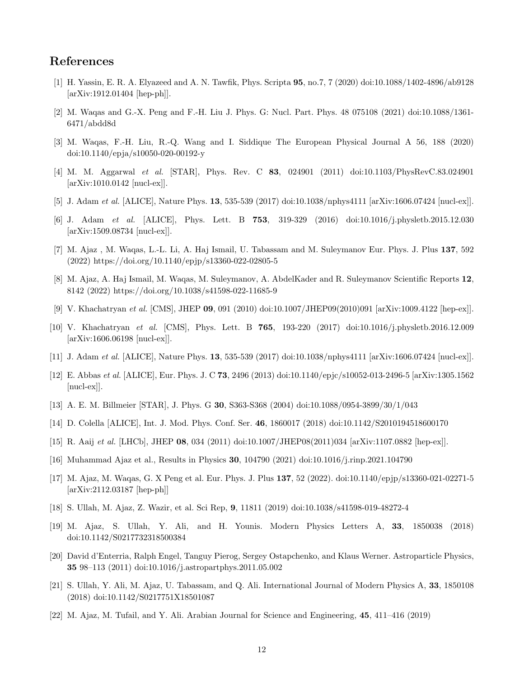# References

- <span id="page-11-0"></span>[1] H. Yassin, E. R. A. Elyazeed and A. N. Tawfik, Phys. Scripta 95, no.7, 7 (2020) doi:10.1088/1402-4896/ab9128 [arXiv:1912.01404 [hep-ph]].
- [2] M. Waqas and G.-X. Peng and F.-H. Liu J. Phys. G: Nucl. Part. Phys. 48 075108 (2021) doi:10.1088/1361- 6471/abdd8d
- <span id="page-11-1"></span>[3] M. Waqas, F.-H. Liu, R.-Q. Wang and I. Siddique The European Physical Journal A 56, 188 (2020) doi:10.1140/epja/s10050-020-00192-y
- <span id="page-11-2"></span>[4] M. M. Aggarwal et al. [STAR], Phys. Rev. C 83, 024901 (2011) doi:10.1103/PhysRevC.83.024901 [arXiv:1010.0142 [nucl-ex]].
- <span id="page-11-3"></span>[5] J. Adam et al. [ALICE], Nature Phys. **13**, 535-539 (2017) doi:10.1038/nphys4111 [arXiv:1606.07424 [nucl-ex]].
- <span id="page-11-4"></span>[6] J. Adam et al. [ALICE], Phys. Lett. B 753, 319-329 (2016) doi:10.1016/j.physletb.2015.12.030 [arXiv:1509.08734 [nucl-ex]].
- <span id="page-11-5"></span>[7] M. Ajaz , M. Waqas, L.-L. Li, A. Haj Ismail, U. Tabassam and M. Suleymanov Eur. Phys. J. Plus 137, 592 (2022) https://doi.org/10.1140/epjp/s13360-022-02805-5
- <span id="page-11-6"></span>[8] M. Ajaz, A. Haj Ismail, M. Waqas, M. Suleymanov, A. AbdelKader and R. Suleymanov Scientific Reports 12, 8142 (2022) https://doi.org/10.1038/s41598-022-11685-9
- <span id="page-11-7"></span>[9] V. Khachatryan et al. [CMS], JHEP 09, 091 (2010) doi:10.1007/JHEP09(2010)091 [arXiv:1009.4122 [hep-ex]].
- <span id="page-11-8"></span>[10] V. Khachatryan et al. [CMS], Phys. Lett. B 765, 193-220 (2017) doi:10.1016/j.physletb.2016.12.009 [arXiv:1606.06198 [nucl-ex]].
- <span id="page-11-9"></span>[11] J. Adam et al. [ALICE], Nature Phys. 13, 535-539 (2017) doi:10.1038/nphys4111 [arXiv:1606.07424 [nucl-ex]].
- <span id="page-11-10"></span>[12] E. Abbas et al. [ALICE], Eur. Phys. J. C 73, 2496 (2013) doi:10.1140/epjc/s10052-013-2496-5 [arXiv:1305.1562 [nucl-ex]].
- <span id="page-11-11"></span>[13] A. E. M. Billmeier [STAR], J. Phys. G 30, S363-S368 (2004) doi:10.1088/0954-3899/30/1/043
- <span id="page-11-12"></span>[14] D. Colella [ALICE], Int. J. Mod. Phys. Conf. Ser. 46, 1860017 (2018) doi:10.1142/S2010194518600170
- <span id="page-11-13"></span>[15] R. Aaij et al. [LHCb], JHEP 08, 034 (2011) doi:10.1007/JHEP08(2011)034 [arXiv:1107.0882 [hep-ex]].
- <span id="page-11-14"></span>[16] Muhammad Ajaz et al., Results in Physics 30, 104790 (2021) doi:10.1016/j.rinp.2021.104790
- <span id="page-11-15"></span>[17] M. Ajaz, M. Waqas, G. X Peng et al. Eur. Phys. J. Plus 137, 52 (2022). doi:10.1140/epjp/s13360-021-02271-5 [arXiv:2112.03187 [hep-ph]]
- <span id="page-11-16"></span>[18] S. Ullah, M. Ajaz, Z. Wazir, et al. Sci Rep, 9, 11811 (2019) doi:10.1038/s41598-019-48272-4
- [19] M. Ajaz, S. Ullah, Y. Ali, and H. Younis. Modern Physics Letters A, 33, 1850038 (2018) doi:10.1142/S0217732318500384
- [20] David d'Enterria, Ralph Engel, Tanguy Pierog, Sergey Ostapchenko, and Klaus Werner. Astroparticle Physics, 35 98–113 (2011) doi:10.1016/j.astropartphys.2011.05.002
- [21] S. Ullah, Y. Ali, M. Ajaz, U. Tabassam, and Q. Ali. International Journal of Modern Physics A, 33, 1850108 (2018) doi:10.1142/S0217751X18501087
- [22] M. Ajaz, M. Tufail, and Y. Ali. Arabian Journal for Science and Engineering, 45, 411–416 (2019)